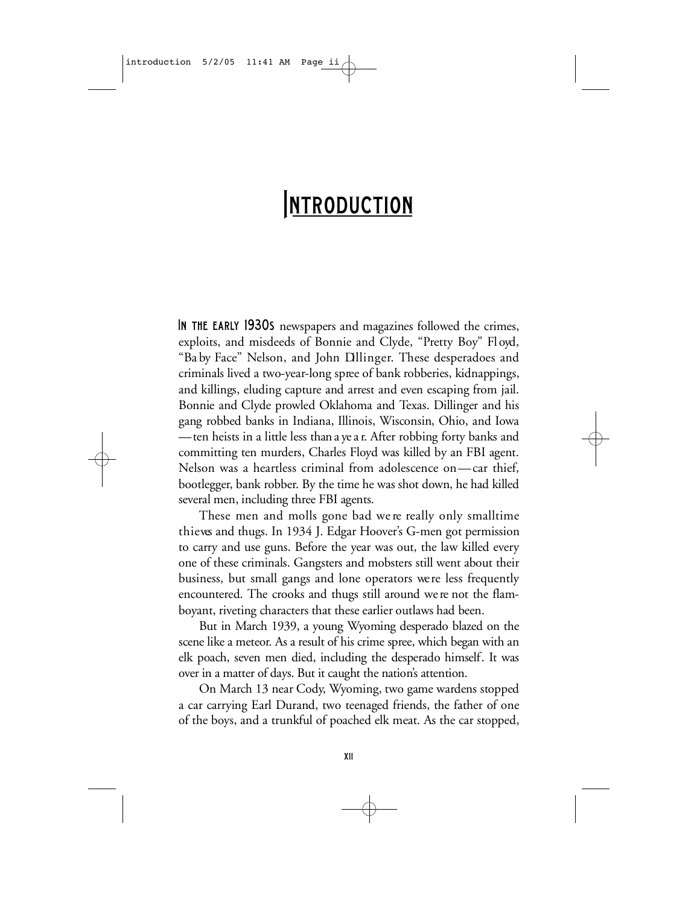# **INTRODUCTION**

IN THE EARLY 1930S newspapers and magazines followed the crimes, exploits, and misdeeds of Bonnie and Clyde, "Pretty Boy" Fl oyd, "Ba by Face" Nelson, and John Dllinger. These desperadoes and criminals lived a two-year-long spree of bank robberies, kidnappings, and killings, eluding capture and arrest and even escaping from jail. Bonnie and Clyde prowled Oklahoma and Texas. Dillinger and his gang robbed banks in Indiana, Illinois, Wisconsin, Ohio, and Iowa —ten heists in a little less than a ye a r. After robbing forty banks and committing ten murders, Charles Floyd was killed by an FBI agent. Nelson was a heartless criminal from adolescence on—car thief, boot legger, bank robber. By the time he was shot down, he had killed several men, including three FBI agents.

These men and molls gone bad we re really only smalltime thieves and thugs. In 1934 J. Edgar Hoover's G-men got permission to carry and use guns. Before the year was out, the law killed every one of these criminals. Gangsters and mobsters still went about their business, but small gangs and lone operators we re less frequently en countered. The crooks and thugs still around we re not the flamb oyant, riveting characters that these earlier outlaws had been.

But in March 1939, a young Wyoming desperado blazed on the scene like a meteor. As a result of his crime spree, which began with an elk poach, seven men died, including the desperado himself. It was over in a matter of days. But it caught the nation's attention.

On March 13 near Cody, Wyoming, two game wardens stopped a car carrying Earl Durand, two teenaged friends, the father of one of the boys, and a trunkful of poached elk meat. As the car stopped,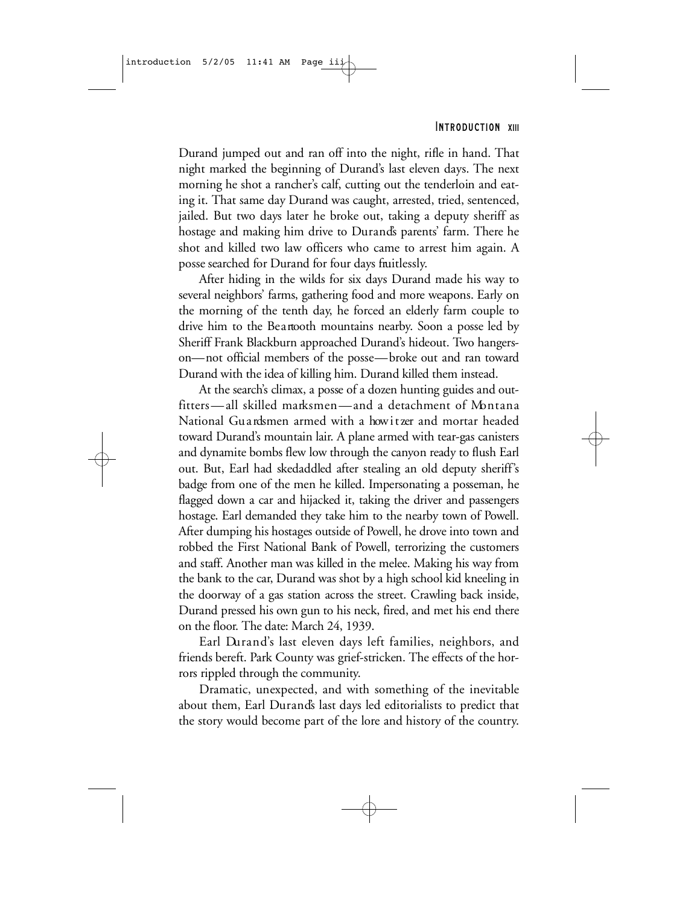#### INTRODUCTION XIII

Durand jumped out and ran off into the night, rifle in hand. That night marked the beginning of Durand's last eleven days. The next morning he shot a rancher's calf, cutting out the tenderloin and eating it. That same day Durand was caught, arrested, tried, sentenced, jailed. But two days later he broke out, taking a deputy sheriff as hostage and making him drive to Durand's parents' farm. There he shot and killed two law officers who came to arrest him again. A posse searched for Durand for four days fruitlessly.

After hiding in the wilds for six days Durand made his way to several neighbors' farms, gathering food and more weapons. Early on the morning of the tenth day, he forced an elderly farm couple to drive him to the Beartooth mountains nearby. Soon a posse led by. Sheriff Frank Blackburn approached Durand's hideout. Two hangerson—not official members of the posse—broke out and ran toward Durand with the idea of killing him. Durand killed them instead.

At the search's climax, a posse of a dozen hunting guides and outfitters—all skilled marksmen—and a detachment of Montana National Gu ardsmen armed with a how it zer and mortar headed toward Durand's mountain lair. A plane armed with tear-gas canisters and dynamite bombs flew low through the canyon ready to flush Earl out. But, Earl had skedaddled after stealing an old deputy sheriff's badge from one of the men he killed. Impersonating a posseman, he flagged down a car and hijacked it, taking the driver and passengers hostage. Earl demanded they take him to the nearby town of Powell. After dumping his hostages outside of Powell, he drove into town and robbed the First National Bank of Powell, terrorizing the customers and staff. Another man was killed in the melee. Making his way from the bank to the car, Durand was shot by a high school kid kneeling in the doorway of a gas station across the street. Crawling back inside, Durand pressed his own gun to his neck, fired, and met his end there on the floor. The date: March 24, 1939.

Earl Durand's last eleven days left families, neighbors, and friends bereft. Park County was grief-stricken. The effects of the horrors rippled through the community.

Dramatic, unexpected, and with something of the inevitable about them, Earl Durand's last days led editorialists to predict that the story would become part of the lore and history of the country.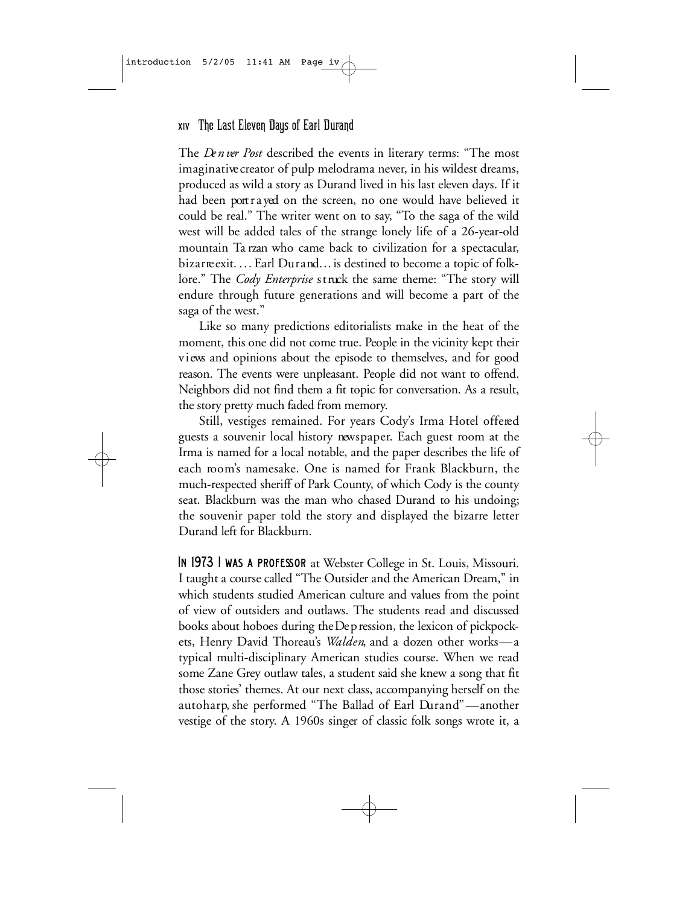## xiv The Last Eleven Days of Earl Durand

The *Denver Post* described the events in literary terms: "The most imaginative creator of pulp melodrama never, in his wildest dreams, p roduced as wild a story as Durand lived in his last eleven days. If it had been port r a yed on the screen, no one would have believed it could be real." The writer went on to say, "To the saga of the wild west will be added tales of the strange lonely life of a 26-year-old mountain Ta rzan who came back to civilization for a spectacular, bizar reexit. ... Earl Durand... is destined to become a topic of folklore." The *Cody Enterprise* struck the same theme: "The story will endure through future generations and will become a part of the saga of the west."

Like so many predictions editorialists make in the heat of the moment, this one did not come true. People in the vicinity kept their views and opinions about the episode to themselves, and for good reason. The events were unpleasant. People did not want to offend. Neighbors did not find them a fit topic for conversation. As a result, the story pretty much faded from memory.

Still, vestiges remained. For years Cody's Irma Hotel offered guests a souvenir local history newspaper. Each guest room at the Irma is named for a local notable, and the paper describes the life of each room's namesake. One is named for Frank Blackburn, the much-respected sheriff of Park County, of which Cody is the county seat. Blackburn was the man who chased Durand to his undoing; the souvenir paper told the story and displayed the bizarre letter Durand left for Blackburn.

IN 1973 I WAS A PROFESSOR at Webster College in St. Louis, Missouri. I taught a course called "The Outsider and the American Dream," in which students studied American culture and values from the point of view of outsiders and outlaws. The students read and discussed books about hoboes during the De p ression, the lexicon of pickpockets, Henry David Thoreau's *Walden*, and a dozen other works—a typical multi-disciplinary American studies course. When we read some Zane Grey outlaw tales, a student said she knew a song that fit those stories' themes. At our next class, accompanying herself on the autoharp, she performed "The Ballad of Earl Durand"—another vestige of the story. A 1960s singer of classic folk songs wrote it, a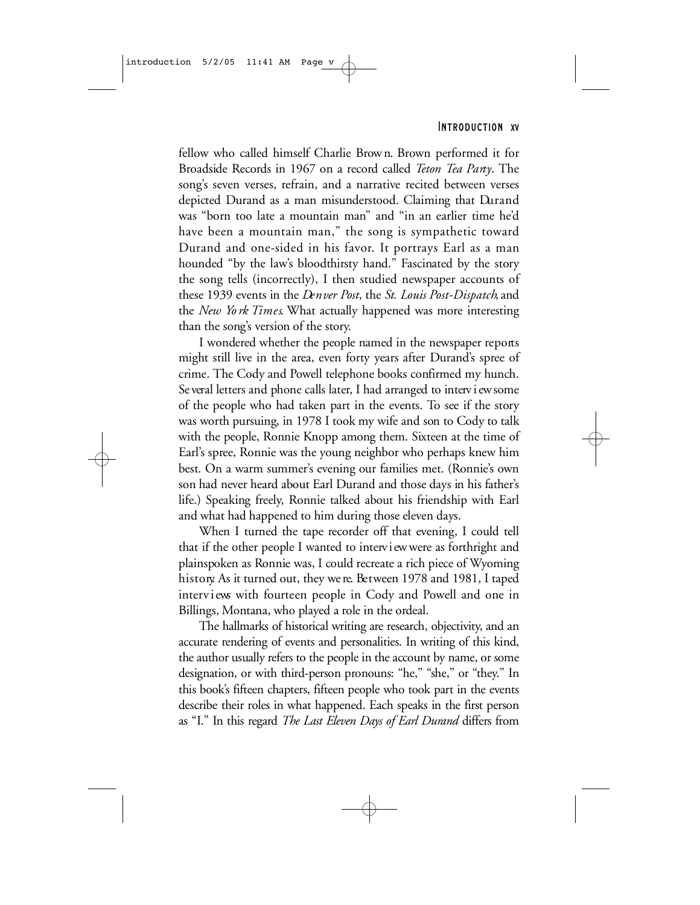#### INTRODUCTION XV

fellow who called himself Charlie Brown. Brown performed it for Broadside Records in 1967 on a record called *Teton Tea Party*. The song's seven verses, refrain, and a narrative recited between verses depicted Durand as a man misunderstood. Claiming that Durand was "born too late a mountain man" and "in an earlier time he'd have been a mountain man," the song is sympathetic toward Durand and one-sided in his favor. It portrays Earl as a man hounded "by the law's bloodthirsty hand." Fascinated by the story the song tells (incorrectly), I then studied newspaper accounts of these 1939 events in the *Denver Post*, the *St. Louis Post-Dispatch*, and the *New York Times*. What actually happened was more interesting than the song's version of the story.

I wondered whether the people named in the newspaper reports might still live in the area, even forty years after Durand's spree of crime. The Cody and Powell telephone books confirmed my hunch. Se veral letters and phone calls later, I had arranged to interv i ew some of the people who had taken part in the events. To see if the story was worth pursuing, in 1978 I took my wife and son to Cody to talk with the people, Ronnie Knopp among them. Sixteen at the time of Earl's spree, Ronnie was the young neighbor who perhaps knew him best. On a warm summer's evening our families met. (Ronnie's own son had never heard about Earl Durand and those days in his father's life.) Speaking freely, Ronnie talked about his friendship with Earl and what had happened to him during those eleven days.

When I turned the tape recorder off that evening, I could tell that if the other people I wanted to interv i ewwere as forthright and plainspoken as Ronnie was, I could recreate a rich piece of Wyoming history. As it turned out, they we re. Between 1978 and 1981, I taped interviews with fourteen people in Cody and Powell and one in Billings, Montana, who played a role in the ordeal.

The hallmarks of historical writing are research, objectivity, and an accurate rendering of events and personalities. In writing of this kind, the author usually refers to the people in the account by name, or some designation, or with third-person pronouns: "he," "she," or "they." In this book's fifteen chapters, fifteen people who took part in the events describe their roles in what happened. Each speaks in the first person as "I." In this regard *The Last Eleven Days of Earl Durand* differs from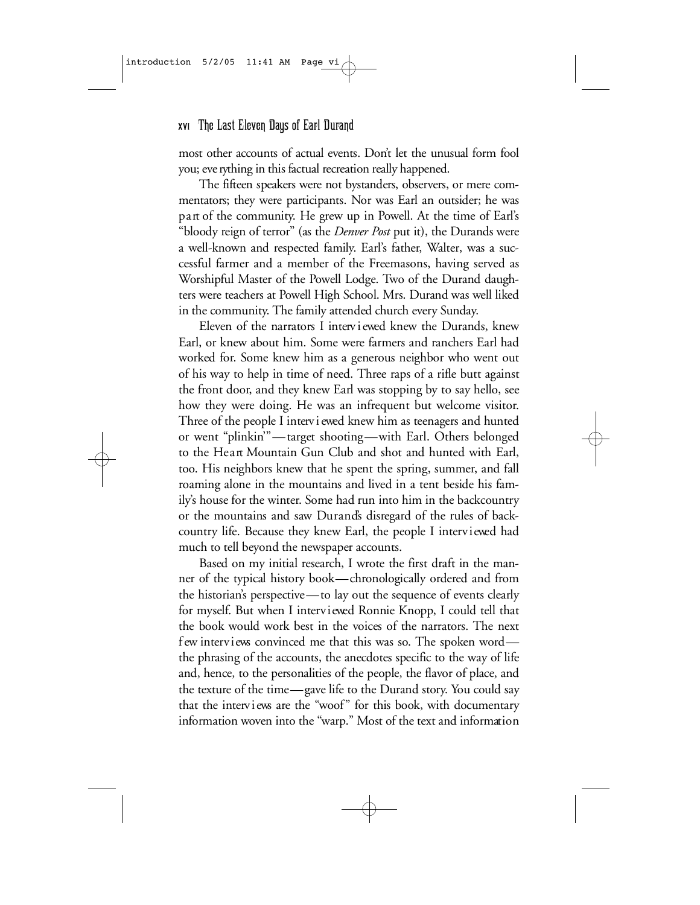## xvi The Last Eleven Days of Earl Durand

most other accounts of actual events. Don't let the unusual form fool you; eve rything in this factual recreation really happened.

The fifteen speakers were not bystanders, observers, or mere commentators; they were participants. Nor was Earl an outsider; he was part of the community. He grew up in Powell. At the time of Earl's "bloody reign of terror" (as the *Denver Post* put it), the Durands were a well-known and respected family. Earl's father, Walter, was a successful farmer and a member of the Freemasons, having served as Worshipful Master of the Powell Lodge. Two of the Durand daughters were teachers at Powell High School. Mrs. Durand was well liked in the community. The family attended church every Sunday.

Eleven of the narrators I interv i ewed knew the Durands, knew Earl, or knew about him. Some were farmers and ranchers Earl had worked for. Some knew him as a generous neighbor who went out of his way to help in time of need. Three raps of a rifle butt against the front door, and they knew Earl was stopping by to say hello, see how they were doing. He was an infrequent but welcome visitor. Three of the people I interv i ewed knew him as teenagers and hunted or went "plinkin"—target shooting—with Earl. Others belonged to the Heart Mountain Gun Club and shot and hunted with Earl, too. His neighbors knew that he spent the spring, summer, and fall roaming alone in the mountains and lived in a tent beside his family's house for the winter. Some had run into him in the backcountry or the mountains and saw Durands disregard of the rules of backcountry life. Because they knew Earl, the people I interviewed had much to tell beyond the newspaper accounts.

Based on my initial research, I wrote the first draft in the manner of the typical history book—chronologically ordered and from the historian's perspective—to lay out the sequence of events clearly for myself. But when I interviewed Ronnie Knopp, I could tell that the book would work best in the voices of the narrators. The next f ew interviews convinced me that this was so. The spoken word the phrasing of the accounts, the anecdotes specific to the way of life and, hence, to the personalities of the people, the flavor of place, and the texture of the time—gave life to the Durand story. You could say that the interviews are the "woof" for this book, with documentary information woven into the "warp." Most of the text and information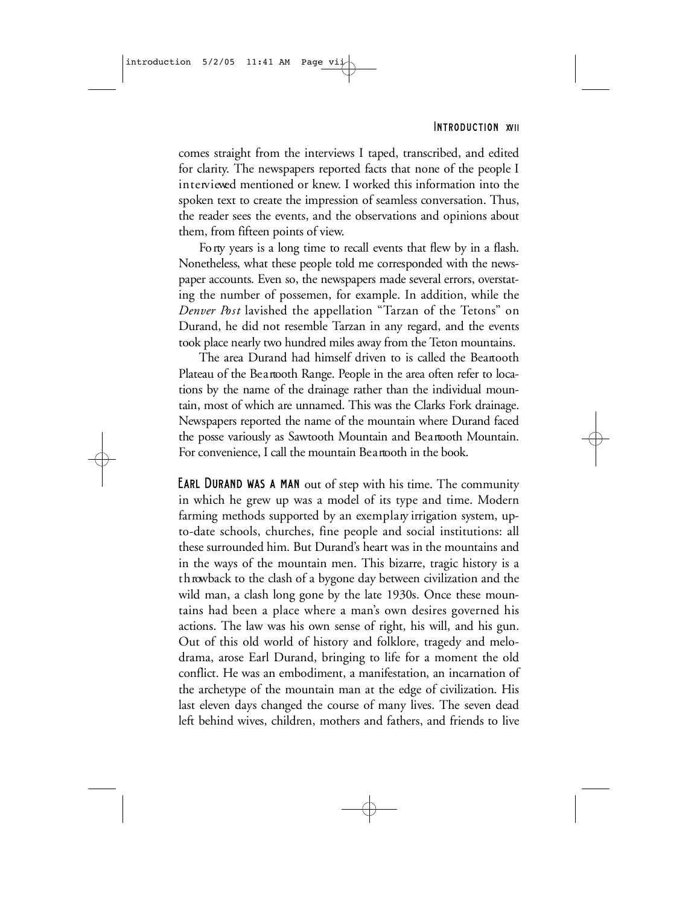#### INTRODUCTION XVII

comes straight from the interviews I taped, transcribed, and edited for clarity. The newspapers reported facts that none of the people I in terviewed mentioned or knew. I worked this information into the spoken text to create the impression of seamless conversation. Thus, the reader sees the events, and the observations and opinions about them, from fifteen points of view.

Fo rty years is a long time to recall events that flew by in a flash. Nonetheless, what these people told me corresponded with the newspaper accounts. Even so, the newspapers made several errors, overstating the number of possemen, for example. In addition, while the *Denver Post* lavished the appellation "Tarzan of the Tetons" on Durand, he did not resemble Tarzan in any regard, and the events took place nearly two hundred miles away from the Teton mountains.

The area Durand had himself driven to is called the Beartooth Plateau of the Beartooth Range. People in the area often refer to locations by the name of the drainage rather than the individual mountain, most of which are unnamed. This was the Clarks Fork drainage. Newspapers reported the name of the mountain where Durand faced the posse variously as Sawtooth Mountain and Beartooth Mountain. For convenience, I call the mountain Beartooth in the book.

Earl Durand was a man out of step with his time. The community in which he grew up was a model of its type and time. Modern farming methods supported by an exemplary irrigation system, upto-date schools, churches, fine people and social institutions: all these surrounded him. But Durand's heart was in the mountains and in the ways of the mountain men. This bizarre, tragic history is a t h rowback to the clash of a bygone day between civilization and the wild man, a clash long gone by the late 1930s. Once these mountains had been a place where a man's own desires governed his actions. The law was his own sense of right, his will, and his gun. Out of this old world of history and folklore, tragedy and melodrama, arose Earl Durand, bringing to life for a moment the old conflict. He was an embodiment, a manifestation, an incarnation of the archetype of the mountain man at the edge of civilization. His last eleven days changed the course of many lives. The seven dead left behind wives, children, mothers and fathers, and friends to live